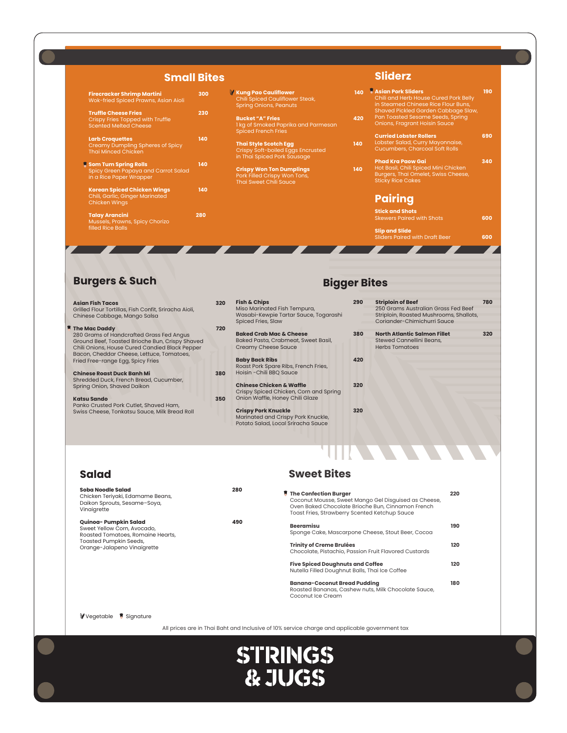#### **Small Bites**

**Bigger Bites**

**Slider Band With Draft Beer 600** 

#### **Asian Fish Tacos 320** Grilled Flour Tortillas, Fish Confit, Sriracha Aioli, Chinese Cabbage, Mango Salsa **The Mac Daddy 720** 280 Grams of Handcrafted Grass Fed Angus Ground Beef, Toasted Brioche Bun, Crispy Shaved Chili Onions, House Cured Candied Black Pepper Bacon, Cheddar Cheese, Lettuce, Tomatoes, Fried Free-range Egg, Spicy Fries **Chinese Roast Duck Banh Mi 380** Shredded Duck, French Bread, Cucumber, Spring Onion, Shaved Daikon **Katsu Sando 350** Panko Crusted Pork Cutlet, Shaved Ham, Swiss Cheese, Tonkatsu Sauce, Milk Bread Roll **Fish & Chips 290** Miso Marinated Fish Tempura, Wasabi-Kewpie Tartar Sauce, Togarashi Spiced Fries, Slaw **Baked Crab Mac & Cheese 380** Baked Pasta, Crabmeat, Sweet Basil, Creamy Cheese Sauce **Baby Back Ribs 420** Roast Pork Spare Ribs, French Fries, Hoisin -Chili BBQ Sauce **Chinese Chicken & Waffle 320** Crispy Spiced Chicken, Corn and Spring Onion Waffle, Honey Chili Glaze **Crispy Pork Knuckle 320** Marinated and Crispy Pork Knuckle, Potato Salad, Local Sriracha Sauce **Striploin of Beef 780** 250 Grams Australian Grass Fed Beef Striploin, Roasted Mushrooms, Shallots, Coriander-Chimichurri Sauce **North Atlantic Salmon Fillet 320** Stewed Cannellini Beans, Herbs Tomatoes

| <b>Firecracker Shrimp Martini</b><br>Wok-fried Spiced Prawns, Asian Aioli                              | 300 | <b>Kung Pao Cauliflower</b><br>Chili Spiced Cauliflower Steak,<br><b>Spring Onions, Peanuts</b>  | 140 | <b>Asjan Pork Sliders</b><br>Chili and Herb House Cured Pork Belly<br>in Steamed Chinese Rice Flour Buns,                           | 190 |
|--------------------------------------------------------------------------------------------------------|-----|--------------------------------------------------------------------------------------------------|-----|-------------------------------------------------------------------------------------------------------------------------------------|-----|
| <b>Truffle Cheese Fries</b><br><b>Crispy Fries Topped with Truffle</b><br><b>Scented Melted Cheese</b> | 230 | <b>Bucket "A" Fries</b><br>1 kg of Smoked Paprika and Parmesan<br><b>Spiced French Fries</b>     | 420 | Shaved Pickled Garden Cabbage Slaw,<br>Pan Toasted Sesame Seeds, Spring<br>Onions, Fragrant Hoisin Sauce                            |     |
| <b>Larb Croquettes</b><br>Creamy Dumpling Spheres of Spicy<br>Thai Minced Chicken                      | 140 | <b>Thai Style Scotch Egg</b><br>Crispy Soft-boiled Eggs Encrusted<br>in Thai Spiced Pork Sausage | 140 | <b>Curried Lobster Rollers</b><br>Lobster Salad, Curry Mayonnaise,<br><b>Cucumbers, Charcoal Soft Rolls</b>                         | 690 |
| <b>Som Tum Spring Rolls</b><br>Spicy Green Papaya and Carrot Salad<br>in a Rice Paper Wrapper          | 140 | <b>Crispy Won Ton Dumplings</b><br>Pork Filled Crispy Won Tons,<br><b>Thai Sweet Chili Sauce</b> | 140 | <b>Phad Kra Paow Gai</b><br>Hot Basil, Chili Spiced Mini Chicken<br>Burgers, Thai Omelet, Swiss Cheese,<br><b>Sticky Rice Cakes</b> | 340 |
| <b>Korean Spiced Chicken Wings</b><br>Chili, Garlic, Ginger Marinated<br>Chicken Wings                 | 140 |                                                                                                  |     | <b>Pairing</b>                                                                                                                      |     |
| <b>Talay Arancini</b><br>Mussels, Prawns, Spicy Chorizo                                                | 280 |                                                                                                  |     | <b>Stick and Shots</b><br><b>Skewers Paired with Shots</b>                                                                          | 600 |
| filled Rice Balls                                                                                      |     |                                                                                                  |     | <b>Slip and Slide</b><br><b>Sliders Paired with Draft Beer</b>                                                                      | 600 |

**Sliderz**

| Soba Noodle Salad<br>Chicken Teriyaki, Edamame Beans,<br>Daikon Sprouts, Sesame-Soya,<br>Vinaigrette | 280 | $\blacksquare$ The Confection Burger<br>Coconut Mousse, Sweet Mango Gel Disguised as Cheese,<br>Oven Baked Chocolate Brioche Bun, Cinnamon French<br>Toast Fries, Strawberry Scented Ketchup Sauce | 220 |
|------------------------------------------------------------------------------------------------------|-----|----------------------------------------------------------------------------------------------------------------------------------------------------------------------------------------------------|-----|
| Quinoa- Pumpkin Salad<br>Sweet Yellow Corn Avocado                                                   | 490 | <b>Beeramisu</b>                                                                                                                                                                                   | 190 |

**Sweet Bites**



#### **Salad**

#### **Burgers & Such**

Wok-

Crisp Scent

**Larb** C Crear Thai I

Chili, G Chick

**Talay** Muss filled I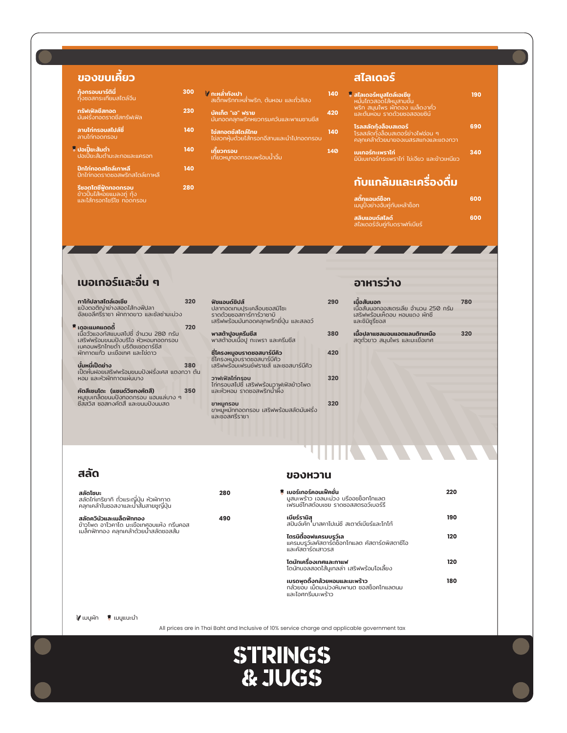สลัดควินัวและเมล็ดฟักทอง **490**  ข้าวโพด อาโวคาโด มะเขือเทศอบแห้ง กรีนคอส

| 0              | ้ <b>( กะหล่ำกังเปา</b><br>- สเต็กพริกกะหล่ำพริก, ต้นหอม และถั่วลิสง <sub> </sub> | 140 |
|----------------|-----------------------------------------------------------------------------------|-----|
| 0              | ้บัคเก็ต "เอ" ฟราย<br>มันทอดคลุกพริกหยวกรมควันและพาเมซานชีส                       | 420 |
| $\overline{0}$ | ไข่สกอตช์สไตล์ไทย<br>ไข่ลวกหุ้มด้วยไส้กรอกอี่สานและนำไปทอดกรอบ                    | 140 |
| 0              | <b>้เกี๊ยวกรอบ</b><br>เกี๊ยวหมูทอดกรอบพร้อมน้ำจิ้ม                                | 140 |
| $\Omega$       |                                                                                   |     |

| 290 | <b>เนื้อสันนอก</b><br>เนื้อสันนอกออสเตรเลีย จำนวน 250 กรัม<br>เสริฟพร้อมเห็ดอบ หอมแดง ผักชี<br>และชิมิชูรีซอส | 780 |
|-----|---------------------------------------------------------------------------------------------------------------|-----|
| 380 | เนื้อปลาแซลมอนแอตแลนติกเหนือ<br>สตูถั่วขาว สมุนไพร และมะเขือเทศ                                               | 320 |
| 420 |                                                                                                               |     |
| 320 |                                                                                                               |     |
| 320 |                                                                                                               |     |
|     |                                                                                                               |     |

| ทาโก้ปลาสไตล์เอเชีย<br>แป้งตอติญ่าย่างสอดไส้กงฟีปลา<br>้อัลยอลีศรีราชา ผักกาดขาว และชัลซ่ามะม่วง                 | 320 | ฟิชแอนด์ชิปส์<br>ปลาทอดเทมประเคลือบซอสมิโซะ<br>ราดด้วยซอสทาร์ทาร์วาซาบิ<br>เสริฟพร้อมมันทอดคลุกพริกยี่ปุ่น และสลอว์ | 290 |
|------------------------------------------------------------------------------------------------------------------|-----|---------------------------------------------------------------------------------------------------------------------|-----|
| เดอะแมคแดดดี้                                                                                                    | 720 |                                                                                                                     |     |
| เนื้อวัวแองกัสแบบสไปซี่ จำนวน 280 กรัม<br>เสริฟพร้อมขนมปังบริโอ หัวหอมทอดกรอบ<br>เบคอนพริกไทยดำ บริติชเชดดาร์ชีส |     | พาสต้าปูอบครีมชีส<br>พาสต้าอบเนื้อปู กะเพรา และครีมชีส                                                              | 380 |
| ผักกาดแก้ว มะเขือเทศ และไข่ดาว                                                                                   |     | ซีโครงหมูอบราดซอสบาร์บีคิว                                                                                          | 420 |
| <b>บั้มหมี่เป็ดย่าง</b><br>เป็ดหั่นฝอยเสริฟพร้อมขนมปังฝรั่งเศส แตงกวา ต้น                                        | 380 | ซีโครงหมูอบราดซอสบาร์บีคิว<br>เสริฟพร้อมเฟรนช์ฟรายส์ และซอสบาร์บี่คิว                                               |     |
| ้หอม และหัวผักกาดแผ่นบาง                                                                                         |     | วาฟเฟิลไก่กรอบ<br>ไก่กรอบสไปซี เสริฟพร้อมวาฟเฟิลข้าวโพด                                                             | 320 |
| คัตสึเซนโดะ (แซนด์วิชทงคัตสึ)<br>หมูชุบเกล็ดขนมปังทอดกรอบ แฮมแล่บาง ๆ                                            | 350 | และหัวหอม ราดซอสพริกนำผึ้ง                                                                                          |     |
| ซีสสวิส ซอสทงคัตสึ และขนมปังนมสด                                                                                 |     | ขาหมกรอบ<br>ขาหมูหมักทอดกรอบ เสริฟพร้อมสลัดมันฝรั่ง<br>และซอสศรีราชา                                                | 320 |

| ้กุ้งกรอบมาร์ตินี่<br>้ท <sub>ั</sub> ้งซอสกระเทียมสไตล์จีน                           |     |
|---------------------------------------------------------------------------------------|-----|
| ทรัฟเฟิลชีสทอด<br>มันฝรั่งทอดราดชีสทรัฟเฟิล                                           | 230 |
| ลาบไก่กรอบสไปส์ซี่<br>ลาบไก่ทอดกรอบ                                                   | 140 |
| <sup>ื</sup> ปอเปี๊ยะสัมตำ<br><u>ปอเปี๊ยะสัมตำมะละกอและแครอท</u>                      | 140 |
| ปีกไก่ทอดสไตล์เกาหลี<br>ปี่กไก่ทอดราดซอสพริกสไตล์เกาหลี                               | 140 |
| <b>รีซอตโตซีฟู้ดทอดกรอบ</b><br>ข้าวปั้นไส้หอยแมลงภู่ กุ้ง<br>และไส้กรอกโชรีโซ ทอดกรอบ | 280 |



เบอร์เกอร์คอนเฟ็คชั่น **220** มูสมะพร้าว เจลมะม่วง บรีออชช็อกโกแลต เฟรนช์โทสต์อบเชย ราดซอสสตรอว์เบอร์รี

เบียร์รามิสุุ **190** สปันจ์เค้ก มาสคาโปเน่ชี สเตาต์เบียร์และโกโก้

| <b>์ สไลเดอร์หมูสไตล์เอเชีย</b><br>หมั่นโถวสอดไส้หมูสามชั้น<br>พริก สมุนไพร ผักดอง เมล็ดงาคั่ว<br>และต้นหอม ราดด้วยซอสฮอยซิน์ | 190 |
|-------------------------------------------------------------------------------------------------------------------------------|-----|
| <b>โรลสลัดก้</b> ุงล็อบสเตอร์<br>โรลสลัดทุ้งล็อบสเตอร์ย่างไฟอ่อน ๆ<br><u>คลุกเคล้าด้วยมายองเนสรสแกงและแต<sup>้</sup>งกวา</u>  | 690 |
| <u>เบเกอร์กะเพราไก่</u><br><u>เมินิเบเกอร์กระเพราไก่ ไข่เจียว และข้าวเหนียว</u>                                               | 340 |
| <u>้กับแกล้มและเครื่องดื่ม</u>                                                                                                |     |

# ของขบเคี้ยว สไลเดอร์

# เบอเกอร์และอื่น ๆ อาหารว่าง

## สลัด ของหวาน

สลัดโซบะ **280** สลัดไก่เทริยากิ ถั่วแระญี่ปุ่น หัวผักกาด คลุกเคล้าในซอสงาและนำส้มสายชูญี่ปุ่น

| สติกแอนด์ช็อท<br>เมนูปิ้งย่างจับคู่กับเหล้าช็อท            | 600 |
|------------------------------------------------------------|-----|
| สลิบแอนด์สไลด์<br>สไลเดอร์จับคู่กั <u>บดราฟท์เบียร</u> ์ ' | 600 |